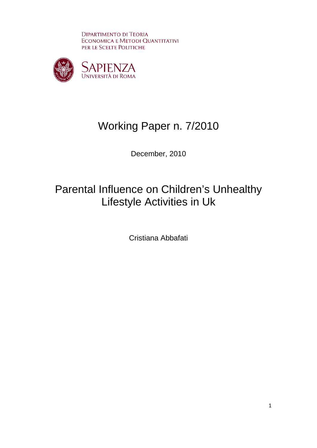**DIPARTIMENTO DI TEORIA** ECONOMICA E METODI QUANTITATIVI PER LE SCELTE POLITICHE



# Working Paper n. 7/2010

December, 2010

# Parental Influence on Children's Unhealthy Lifestyle Activities in Uk

Cristiana Abbafati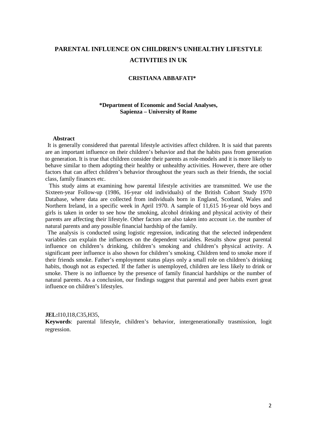# **PARENTAL INFLUENCE ON CHILDREN'S UNHEALTHY LIFESTYLE ACTIVITIES IN UK**

#### **CRISTIANA ABBAFATI\***

## **\*Department of Economic and Social Analyses, Sapienza – University of Rome**

#### **Abstract**

It is generally considered that parental lifestyle activities affect children. It is said that parents are an important influence on their children's behavior and that the habits pass from generation to generation. It is true that children consider their parents as role-models and it is more likely to behave similar to them adopting their healthy or unhealthy activities. However, there are other factors that can affect children's behavior throughout the years such as their friends, the social class, family finances etc.

This study aims at examining how parental lifestyle activities are transmitted. We use the Sixteen-year Follow-up (1986, 16-year old individuals) of the British Cohort Study 1970 Database, where data are collected from individuals born in England, Scotland, Wales and Northern Ireland, in a specific week in April 1970. A sample of 11,615 16-year old boys and girls is taken in order to see how the smoking, alcohol drinking and physical activity of their parents are affecting their lifestyle. Other factors are also taken into account i.e. the number of natural parents and any possible financial hardship of the family.

The analysis is conducted using logistic regression, indicating that the selected independent variables can explain the influences on the dependent variables. Results show great parental influence on children's drinking, children's smoking and children's physical activity. A significant peer influence is also shown for children's smoking. Children tend to smoke more if their friends smoke. Father's employment status plays only a small role on children's drinking habits, though not as expected. If the father is unemployed, children are less likely to drink or smoke. There is no influence by the presence of family financial hardships or the number of natural parents. As a conclusion, our findings suggest that parental and peer habits exert great influence on children's lifestyles.

#### **JEL:**I10,I18,C35,H35,

**Keywords**: parental lifestyle, children's behavior, intergenerationally trasmission, logit regression.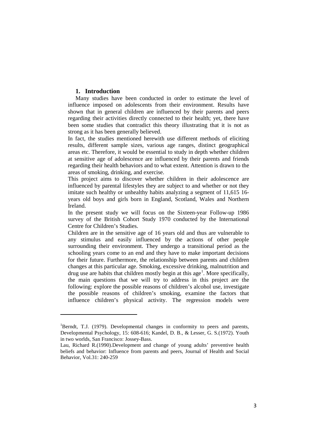### **1. Introduction**

ı

Many studies have been conducted in order to estimate the level of influence imposed on adolescents from their environment. Results have shown that in general children are influenced by their parents and peers regarding their activities directly connected to their health; yet, there have been some studies that contradict this theory illustrating that it is not as strong as it has been generally believed.

In fact, the studies mentioned herewith use different methods of eliciting results, different sample sizes, various age ranges, distinct geographical areas etc. Therefore, it would be essential to study in depth whether children at sensitive age of adolescence are influenced by their parents and friends regarding their health behaviors and to what extent. Attention is drawn to the areas of smoking, drinking, and exercise.

This project aims to discover whether children in their adolescence are influenced by parental lifestyles they are subject to and whether or not they imitate such healthy or unhealthy habits analyzing a segment of 11,615 16 years old boys and girls born in England, Scotland, Wales and Northern Ireland.

In the present study we will focus on the Sixteen-year Follow-up 1986 survey of the British Cohort Study 1970 conducted by the International Centre for Children's Studies.

Children are in the sensitive age of 16 years old and thus are vulnerable to any stimulus and easily influenced by the actions of other people surrounding their environment. They undergo a transitional period as the schooling years come to an end and they have to make important decisions for their future. Furthermore, the relationship between parents and children changes at this particular age. Smoking, excessive drinking, malnutrition and drug use are habits that children mostly begin at this age<sup>[1](#page-2-0)</sup>. More specifically, the main questions that we will try to address in this project are the following: explore the possible reasons of children's alcohol use, investigate the possible reasons of children's smoking, examine the factors that influence children's physical activity. The regression models were

<span id="page-2-0"></span><sup>&</sup>lt;sup>1</sup>Berndt, T.J. (1979). Developmental changes in conformity to peers and parents, Developmental Psychology, 15: 608-616; Kandel, D. B., & Lesser, G. S.(1972). Youth in two worlds, San Francisco: Jossey-Bass.

Lau, Richard R.(1990).Development and change of young adults' preventive health beliefs and behavior: Influence from parents and peers, Journal of Health and Social Behavior, Vol.31: 240-259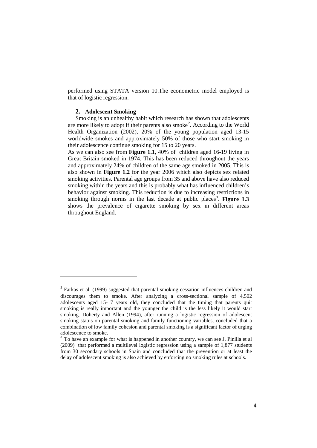performed using STATA version 10.The econometric model employed is that of logistic regression.

#### **2. Adolescent Smoking**

 $\overline{\phantom{0}}$ 

Smoking is an unhealthy habit which research has shown that adolescents are more likely to adopt if their parents also smoke<sup>[2](#page-3-0)</sup>. According to the World Health Organization (2002), 20% of the young population aged 13-15 worldwide smokes and approximately 50% of those who start smoking in their adolescence continue smoking for 15 to 20 years.

As we can also see from **Figure 1.1**, 40% of children aged 16-19 living in Great Britain smoked in 1974. This has been reduced throughout the years and approximately 24% of children of the same age smoked in 2005. This is also shown in **Figure 1.2** for the year 2006 which also depicts sex related smoking activities. Parental age groups from 35 and above have also reduced smoking within the years and this is probably what has influenced children's behavior against smoking. This reduction is due to increasing restrictions in smoking through norms in the last decade at public places [3](#page-3-1) . **Figure 1.3**  shows the prevalence of cigarette smoking by sex in different areas throughout England.

<span id="page-3-0"></span><sup>&</sup>lt;sup>2</sup> Farkas et al. (1999) suggested that parental smoking cessation influences children and discourages them to smoke. After analyzing a cross-sectional sample of 4,502 adolescents aged 15-17 years old, they concluded that the timing that parents quit smoking is really important and the younger the child is the less likely it would start smoking. Doherty and Allen (1994), after running a logistic regression of adolescent smoking status on parental smoking and family functioning variables, concluded that a combination of low family cohesion and parental smoking is a significant factor of urging adolescence to smoke.

<span id="page-3-1"></span><sup>&</sup>lt;sup>3</sup> To have an example for what is happened in another country, we can see J. Pinilla et al (2009) that performed a multilevel logistic regression using a sample of 1,877 students from 30 secondary schools in Spain and concluded that the prevention or at least the delay of adolescent smoking is also achieved by enforcing no smoking rules at schools.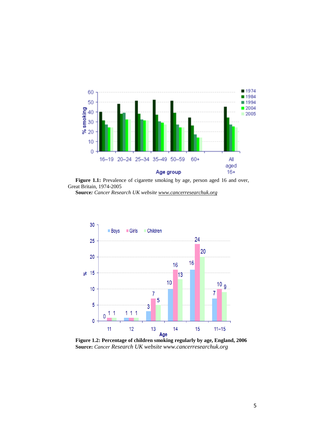

Figure 1.1: Prevalence of cigarette smoking by age, person aged 16 and over, Great Britain, 1974-2005

**Source***: Cancer Research UK websit[e www.cancerresearchuk.org](http://www.cancerresearchuk.org/)*



**Figure 1.2: Percentage of children smoking regularly by age, England, 2006 Source:** *Cancer Research UK website www.cancerresearchuk.org*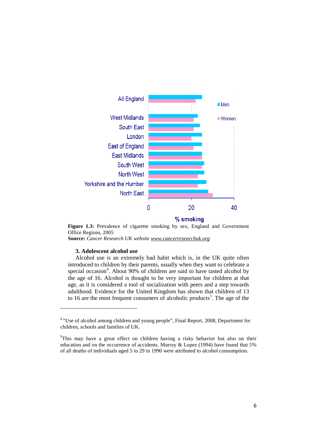

Figure 1.3: Prevalence of cigarette smoking by sex, England and Government Office Regions, 2005

**Source:** *Cancer Research UK website [www.cancerresearchuk.org](http://www.cancerresearchuk.org/)*

#### **3. Adolescent alcohol use**

 $\overline{\phantom{0}}$ 

Alcohol use is an extremely bad habit which is, in the UK quite often introduced to children by their parents, usually when they want to celebrate a special occasion<sup>[4](#page-5-0)</sup>. About 90% of children are said to have tasted alcohol by the age of 16. Alcohol is thought to be very important for children at that age, as it is considered a tool of socialization with peers and a step towards adulthood. Evidence for the United Kingdom has shown that children of 13 to 16 are the most frequent consumers of alcoholic products<sup>[5](#page-5-1)</sup>. The age of the

<span id="page-5-0"></span><sup>4</sup> "Use of alcohol among children and young people", Final Report, 2008, Department for children, schools and families of UK.

<span id="page-5-1"></span><sup>&</sup>lt;sup>5</sup>This may have a great effect on children having a risky behavior but also on their education and on the occurrence of accidents. Murray & Lopez (1994) have found that 5% of all deaths of individuals aged 5 to 29 in 1990 were attributed to alcohol consumption.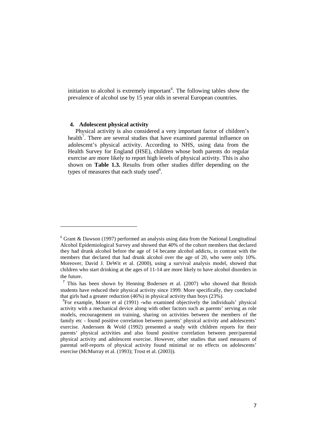initiation to alcohol is extremely important<sup>[6](#page-6-0)</sup>. The following tables show the prevalence of alcohol use by 15 year olds in several European countries.

#### **4. Adolescent physical activity**

 $\overline{\phantom{0}}$ 

Physical activity is also considered a very important factor of children's health<sup>[7](#page-6-1)</sup>. There are several studies that have examined parental influence on adolescent's physical activity. According to NHS, using data from the Health Survey for England (HSE), children whose both parents do regular exercise are more likely to report high levels of physical activity. This is also shown on **Table 1.3.** Results from other studies differ depending on the types of measures that each study used $8$ .

<span id="page-6-0"></span> $6$  Grant & Dawson (1997) performed an analysis using data from the National Longitudinal Alcohol Epidemiological Survey and showed that 40% of the cohort members that declared they had drunk alcohol before the age of 14 became alcohol addicts, in contrast with the members that declared that had drunk alcohol over the age of 20, who were only 10%. Moreover, David J. DeWit et al. (2000), using a survival analysis model, showed that children who start drinking at the ages of 11-14 are more likely to have alcohol disorders in

<span id="page-6-1"></span>the future.<br><sup>7</sup> This has been shown by Henning Bodersen et al. (2007) who showed that British students have reduced their physical activity since 1999. More specifically, they concluded that girls had a greater reduction (46%) in physical activity than boys (23%).

<span id="page-6-2"></span><sup>&</sup>lt;sup>8</sup>For example, Moore et al (1991) -who examined objectively the individuals' physical activity with a mechanical device along with other factors such as parents' serving as role models, encouragement on training, sharing on activities between the members of the family etc - found positive correlation between parents' physical activity and adolescents' exercise. Anderssen & Wold (1992) presented a study with children reports for their parents' physical activities and also found positive correlation between peer/parental physical activity and adolescent exercise. However, other studies that used measures of parental self-reports of physical activity found minimal or no effects on adolescents' exercise (McMurray et al. (1993); Trost et al. (2003)).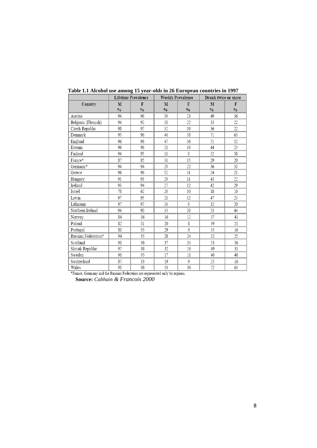|                     |               | <b>Lifetime Prevalence</b> | <b>Weekly Prevalence</b> |               | Drunk twice or more |               |
|---------------------|---------------|----------------------------|--------------------------|---------------|---------------------|---------------|
| Country             | M             | $\mathbf{F}$               | M                        | F             | M                   | F             |
|                     | $\frac{0}{0}$ | $\frac{0}{0}$              | $\frac{0}{0}$            | $\frac{0}{0}$ | $\frac{0}{0}$       | $\frac{0}{0}$ |
| Austria             | 94            | 96                         | 39                       | 23            | 49                  | 36            |
| Belgium (Flemish)   | 94            | 92                         | 38                       | 22            | 33                  | 22            |
| Czech Republic      | 98            | 97                         | 32                       | 19            | 36                  | 22            |
| Denmark             | 95            | 96                         | 46                       | 38            | 71                  | 63            |
| England             | 96            | 96                         | 47                       | 36            | 51                  | 52            |
| Estonia             | 96            | 96                         | 21                       | 10            | 44                  | 23            |
| Finland             | 94            | 95                         | 11                       | 8             | 52                  | 58            |
| France*             | 87            | 85                         | 31                       | 15            | 29                  | 20            |
| Germany*            | 94            | 94                         | 29                       | 22            | 36                  | 31            |
| Greece              | 96            | 96                         | 52                       | 31            | 24                  | 21            |
| Hungary             | 91            | 93                         | 29                       | 11            | 43                  | 22            |
| Ireland             | 93            | 94                         | 27                       | 12            | 42                  | 29            |
| Israel              | 78            | 62                         | 26                       | 10            | 18                  | 10            |
| Latvia              | 97            | 95                         | 28                       | 12            | 47                  | 23            |
| Lithuania           | 97            | 97                         | 16                       | 9             | 32                  | 20            |
| Northern Ireland    | 94            | 90                         | 33                       | 20            | 53                  | 44            |
| Norway              | 84            | 86                         | 16                       | 12            | 37                  | 41            |
| Poland              | 82            | 81                         | 20                       | 8             | 39                  | 21            |
| Portugal            | 88            | 95                         | 29                       | 9             | 35                  | 16            |
| Russian Federation* | 94            | 95                         | 28                       | 24            | 32                  | 25            |
| Scotland            | 98            | 98                         | 37                       | 33            | 53                  | 56            |
| Slovak Republic     | 97            | 98                         | 32                       | 16            | 49                  | 31            |
| Sweden              | 96            | 95                         | 17                       | $11\,$        | 40                  | 40            |
| Switzerland         | 87            | 83                         | 19                       | 9             | 25                  | 16            |
| Wales               | 98            | 98                         | 53                       | 36            | 72                  | 63            |

**Table 1.1 Alcohol use among 15 year-olds in 26 European countries in 1997**

\*France, Germany and the Russian Federation are represented only by regions.

**Source:** *Cabhain & Francois 2000*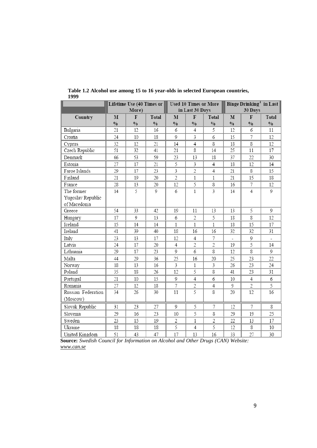|                    | Lifetime Use (40 Times or |               | <b>Used 10 Times or More</b> |                         |                 | Binge Drinking <sup>1</sup> in Last |                          |                        |                |  |
|--------------------|---------------------------|---------------|------------------------------|-------------------------|-----------------|-------------------------------------|--------------------------|------------------------|----------------|--|
|                    |                           | More)         |                              |                         | in Last 30 Days |                                     |                          | 30 Days                |                |  |
| Country            | $\mathbf{M}$              | F             | <b>Total</b>                 | $\mathbf{M}$            | F               | Total                               | $\mathbf{M}$             | $\mathbf F$            | Total          |  |
|                    | $\sqrt{0}$                | $\frac{0}{0}$ | $\frac{0}{0}$                | $\sqrt{0}$              | $\frac{0}{0}$   | $0/0$                               | $\frac{0}{0}$            | $\sqrt[0]{\mathbf{0}}$ | $\frac{0}{0}$  |  |
| Bulgaria           | 21                        | 12            | 16                           | 6                       | 4               | 5                                   | 12                       | 6                      | 11             |  |
| Croatia            | 24                        | 10            | 18                           | 9                       | 3               | 6                                   | 15                       | 7                      | 12             |  |
| Cyprus             | 32                        | 12            | 21                           | 14                      | $\overline{4}$  | 8                                   | 18                       | 8                      | 12             |  |
| Czech Republic     | 51                        | 32            | 41                           | 21                      | 8               | 14                                  | 25                       | 11                     | 17             |  |
| Denmark            | 66                        | 53            | 59                           | 23                      | 13              | 18                                  | 37                       | 22                     | 30             |  |
| Estonia            | 27                        | 17            | 21                           | 5                       | 3               | $\overline{4}$                      | 18                       | 12                     | 14             |  |
| Faroe Islands      | 29                        | 17            | 23                           | 3                       | 2               | 4                                   | 21                       | 8                      | 15             |  |
| Finland            | 21                        | 19            | 20                           | $\overline{c}$          | 1               | 1                                   | 21                       | 15                     | 18             |  |
| France             | 28                        | 13            | 20                           | 12                      | 5               | 8                                   | 16                       | 7                      | 12             |  |
| The former         | 14                        | 5             | 9                            | 6                       | $\mathbf{1}$    | 3                                   | 14                       | $\overline{4}$         | 9              |  |
| Yugoslav Republic  |                           |               |                              |                         |                 |                                     |                          |                        |                |  |
| of Macedonia       |                           |               |                              |                         |                 |                                     |                          |                        |                |  |
| Greece             | 54                        | 33            | 42                           | 19                      | 11              | 13                                  | 13                       | 5                      | 9              |  |
| Hungary            | 17                        | 9             | 13                           | 6                       | $\overline{2}$  | 5                                   | 18                       | 8                      | 12             |  |
| Iceland            | 15                        | 14            | 14                           | 1                       | $\mathbf{1}$    | 1                                   | 18                       | 15                     | 17             |  |
| Ireland            | 41                        | 39            | 40                           | 18                      | 16              | 16                                  | 32                       | 32                     | 31             |  |
| Italy              | 23                        | 13            | 17                           | 12                      | $\overline{4}$  | 7                                   | $\overline{\phantom{a}}$ | 9                      | $\overline{a}$ |  |
| Latvia             | 24                        | 17            | 20                           | $\overline{4}$          | $\overline{2}$  | $\overline{2}$                      | 19                       | 5                      | 14             |  |
| Lithuania          | 29                        | 17            | 23                           | 9                       | 6               | 8                                   | 12                       | 8                      | 9              |  |
| Malta              | 44                        | 29            | 36                           | 25                      | 16              | 20                                  | 25                       | 23                     | 22             |  |
| Norway             | 18                        | 13            | 16                           | $\overline{\mathbf{3}}$ | $\mathbf{1}$    | 3                                   | 26                       | 23                     | 24             |  |
| Poland             | 35                        | 18            | 26                           | 12                      | 5               | 8                                   | 41                       | 23                     | 31             |  |
| Portugal           | 21                        | 10            | 15                           | 9                       | 4               | 6                                   | 10                       | 4                      | 6              |  |
| Romania            | 27                        | 12            | 18                           | 7                       | 2               | 4                                   | 9                        | 2                      | 5              |  |
| Russian Federation | 34                        | 26            | 30                           | 11                      | $\overline{5}$  | 8                                   | 20                       | 12                     | 16             |  |
| (Moscow)           |                           |               |                              |                         |                 |                                     |                          |                        |                |  |
| Slovak Republic    | 31                        | 23            | 27                           | 9                       | 5               | 7                                   | 12                       | 7                      | 8              |  |
| Slovenia           | 29                        | 16            | 23                           | 10                      | 5               | 8                                   | 29                       | 19                     | 25             |  |
| Sweden             | 23                        | 15            | 19                           | $\overline{2}$          | $\mathbf{1}$    | $\mathfrak{2}$                      | 22                       | 13                     | 17             |  |
| Ukraine            | 18                        | 18            | 18                           | 5                       | $\overline{4}$  | 5                                   | 12                       | 8                      | 10             |  |
| United Kingdom     | 51                        | 43            | 47                           | 17                      | 13              | 16                                  | 33                       | 27                     | 30             |  |

**Table 1.2 Alcohol use among 15 to 16 year-olds in selected European countries, 1999**

**Source:** *Swedish Council for Information on Alcohol and Other Drugs (CAN) Website: [www.can.se](http://www.can.se/)*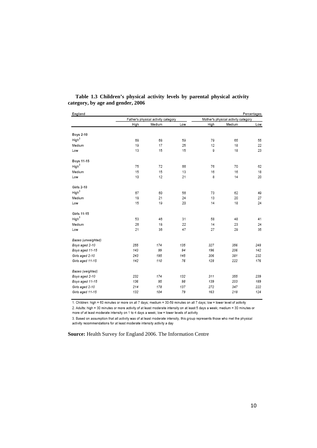| England            |      |                                     |     |            |                                     | Percentages |
|--------------------|------|-------------------------------------|-----|------------|-------------------------------------|-------------|
|                    |      | Father's physical activity category |     |            | Mother's physical activity category |             |
|                    | High | Medium                              | Low | High       | Medium                              | Low         |
| <b>Boys 2-10</b>   |      |                                     |     |            |                                     |             |
| High <sup>3</sup>  |      |                                     |     |            |                                     |             |
|                    | 68   | 68                                  | 59  | 79         | 65                                  | 55          |
| Medium             | 19   | 17                                  | 25  | 12         | 18                                  | 22          |
| Low                | 13   | 15                                  | 15  | 0          | 18                                  | 23          |
| Boys 11-15         |      |                                     |     |            |                                     |             |
| High <sup>3</sup>  | 75   | 72                                  | 66  | 76         | 70                                  | 62          |
| Medium             | 15   | 15                                  | 13  | 16         | 16                                  | 18          |
| Low                | 10   | 12                                  | 21  | 8          | 14                                  | 20          |
| <b>Girls 2-10</b>  |      |                                     |     |            |                                     |             |
| High <sup>3</sup>  | 67   | 60                                  | 56  | 73         | 62                                  | 49          |
| Medium             | 18   | 21                                  | 24  | 13         | 20                                  | 27          |
| Low                | 15   | 19                                  | 20  | 14         | 18                                  | 24          |
| Girls 11-15        |      |                                     |     |            |                                     |             |
| High <sup>3</sup>  | 53   | 46                                  | 31  | 58         | 48                                  | 41          |
| Medium             | 26   | 18                                  | 22  | 14         | 23                                  | 24          |
| Low                | 21   | 36                                  | 47  | 27         | 29                                  | 35          |
| Bases (unweighted) |      |                                     |     |            |                                     |             |
| Boys aged 2-10     | 255  | 174                                 | 135 | 327        | 356                                 | 248         |
| Boys aged 11-15    | 143  | 99                                  | 94  | 196        | 206                                 | 142         |
| Girls aged 2-10    | 243  | 195                                 | 145 | 306        | 381                                 | 232         |
| Girls aged 11-15   | 142  | 110                                 | 76  | 128        | 222                                 | 176         |
|                    |      |                                     |     |            |                                     |             |
| Bases (weighted)   | 232  | 174                                 | 132 |            | 355                                 | 239         |
| Boys aged 2-10     | 136  | 95                                  | 98  | 311<br>139 | 203                                 |             |
| Boys aged 11-15    |      |                                     |     |            |                                     | 189         |
| Girls aged 2-10    | 214  | 178                                 | 137 | 272        | 347                                 | 222         |
| Girls aged 11-15   | 132  | 104                                 | 79  | 163        | 218                                 | 124         |

#### **Table 1.3 Children's physical activity levels by parental physical activity category, by age and gender, 2006**

1. Children: high = 60 minutes or more on all 7 days; medium = 30-59 minutes on all 7 days; low = lower level of activity

2. Adults: high = 30 minutes or more activity of at least moderate intensity on at least 5 days a week; medium = 30 minutes or more of at least moderate intensity on 1 to 4 days a week; low = lower levels of activity

3. Based on assumption that all activity was of at least moderate intensity, this group represents those who met the physical activity recommendations for at least moderate intensity activity a day

**Source:** Health Survey for England 2006. The Information Centre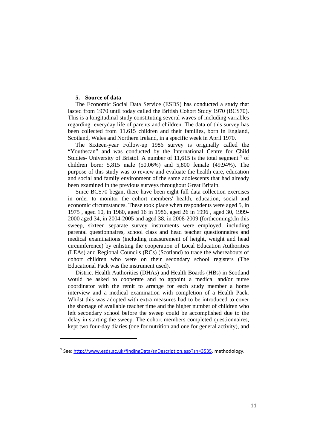#### **5. Source of data**

ı

The Economic Social Data Service (ESDS) has conducted a study that lasted from 1970 until today called the British Cohort Study 1970 (BCS70). This is a longitudinal study constituting several waves of including variables regarding everyday life of parents and children. The data of this survey has been collected from 11.615 children and their families, born in England, Scotland, Wales and Northern Ireland, in a specific week in April 1970.

The Sixteen-year Follow-up 1986 survey is originally called the "Youthscan" and was conducted by the International Centre for Child Studies- University of Bristol. A number of  $11,615$  is the total segment  $9$  of children born: 5,815 male (50.06%) and 5,800 female (49.94%). The purpose of this study was to review and evaluate the health care, education and social and family environment of the same adolescents that had already been examined in the previous surveys throughout Great Britain.

Since BCS70 began, there have been eight full data collection exercises in order to monitor the cohort members' health, education, social and economic circumstances. These took place when respondents were aged 5, in 1975 , aged 10, in 1980, aged 16 in 1986, aged 26 in 1996 , aged 30, 1999- 2000 aged 34, in 2004-2005 and aged 38, in 2008-2009 (forthcoming).In this sweep, sixteen separate survey instruments were employed, including parental questionnaires, school class and head teacher questionnaires and medical examinations (including measurement of height, weight and head circumference) by enlisting the cooperation of Local Education Authorities (LEAs) and Regional Councils (RCs) (Scotland) to trace the whereabouts of cohort children who were on their secondary school registers (The Educational Pack was the instrument used).

District Health Authorities (DHAs) and Health Boards (HBs) in Scotland would be asked to cooperate and to appoint a medical and/or nurse coordinator with the remit to arrange for each study member a home interview and a medical examination with completion of a Health Pack. Whilst this was adopted with extra measures had to be introduced to cover the shortage of available teacher time and the higher number of children who left secondary school before the sweep could be accomplished due to the delay in starting the sweep. The cohort members completed questionnaires, kept two four-day diaries (one for nutrition and one for general activity), and

<span id="page-10-0"></span> $9$  See: [http://www.esds.ac.uk/findingData/snDescription.asp?sn=3535,](http://www.esds.ac.uk/findingData/snDescription.asp?sn=3535) methodology.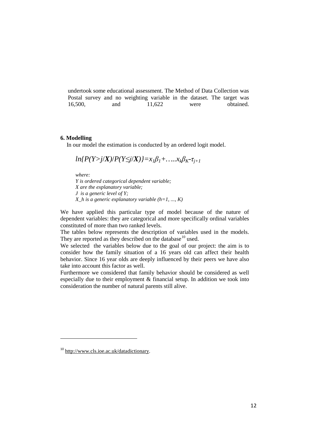undertook some educational assessment. The Method of Data Collection was Postal survey and no weighting variable in the dataset. The target was 16,500, and 11,622 were obtained. 16,500, and 11,622 were obtained.

## **6. Modelling**

In our model the estimation is conducted by an ordered logit model.

$$
ln\{P(Y>j/X)/P(Y\leq j/X)\} = x_1\beta_1 + \ldots + x_k\beta_k - \tau_{j+1}
$$

*where:* 

*Y is ordered categorical dependent variable; X are the explanatory variable; J is a generic level of Y; X h* is a generic explanatory variable  $(h=1, ..., K)$ 

We have applied this particular type of model because of the nature of dependent variables: they are categorical and more specifically ordinal variables constituted of more than two ranked levels.

The tables below represents the description of variables used in the models. They are reported as they described on the database<sup>[10](#page-11-0)</sup> used.

We selected the variables below due to the goal of our project: the aim is to consider how the family situation of a 16 years old can affect their health behavior. Since 16 year olds are deeply influenced by their peers we have also take into account this factor as well.

Furthermore we considered that family behavior should be considered as well especially due to their employment & financial setup. In addition we took into consideration the number of natural parents still alive.

ı

<span id="page-11-0"></span><sup>10</sup> [http://www.cls.ioe.ac.uk/datadictionary.](http://www.cls.ioe.ac.uk/datadictionary)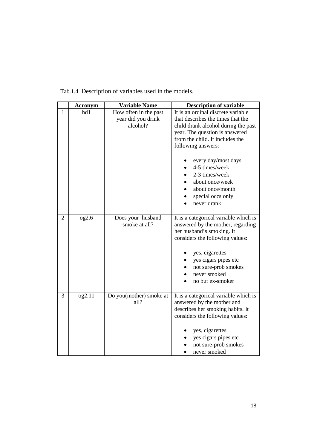|                | <b>Acronym</b> | <b>Variable Name</b>                                    | <b>Description of variable</b>                                                                                                                                                                                                                                                                                                                  |
|----------------|----------------|---------------------------------------------------------|-------------------------------------------------------------------------------------------------------------------------------------------------------------------------------------------------------------------------------------------------------------------------------------------------------------------------------------------------|
| 1              | hd1            | How often in the past<br>year did you drink<br>alcohol? | It is an ordinal discrete variable<br>that describes the times that the<br>child drank alcohol during the past<br>year. The question is answered<br>from the child. It includes the<br>following answers:<br>every day/most days<br>4-5 times/week<br>2-3 times/week<br>about once/week<br>about once/month<br>special occs only<br>never drank |
| $\overline{2}$ | 0g2.6          | Does your husband<br>smoke at all?                      | It is a categorical variable which is<br>answered by the mother, regarding<br>her husband's smoking. It<br>considers the following values:<br>yes, cigarettes<br>yes cigars pipes etc<br>not sure-prob smokes<br>never smoked<br>no but ex-smoker                                                                                               |
| 3              | og2.11         | Do you(mother) smoke at<br>all?                         | It is a categorical variable which is<br>answered by the mother and<br>describes her smoking habits. It<br>considers the following values:<br>yes, cigarettes<br>yes cigars pipes etc<br>not sure-prob smokes<br>never smoked                                                                                                                   |

Tab.1.4 Description of variables used in the models.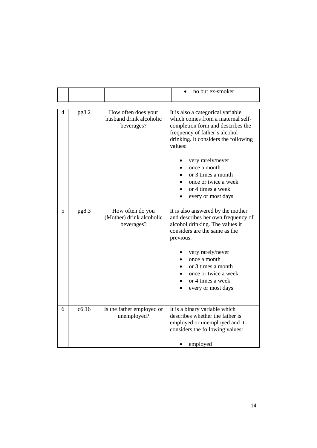|   |       |                                                              | no but ex-smoker                                                                                                                                                                                |  |
|---|-------|--------------------------------------------------------------|-------------------------------------------------------------------------------------------------------------------------------------------------------------------------------------------------|--|
|   |       |                                                              |                                                                                                                                                                                                 |  |
| 4 | pg8.2 | How often does your<br>husband drink alcoholic<br>beverages? | It is also a categorical variable<br>which comes from a maternal self-<br>completion form and describes the<br>frequency of father's alcohol<br>drinking. It considers the following<br>values: |  |
|   |       |                                                              | very rarely/never<br>once a month<br>or 3 times a month<br>once or twice a week<br>or 4 times a week<br>every or most days                                                                      |  |
| 5 | pg8.3 | How often do you<br>(Mother) drink alcoholic<br>beverages?   | It is also answered by the mother<br>and describes her own frequency of<br>alcohol drinking. The values it<br>considers are the same as the<br>previous:                                        |  |
|   |       |                                                              | very rarely/never<br>once a month<br>or 3 times a month<br>once or twice a week<br>or 4 times a week<br>every or most days                                                                      |  |
| 6 | c6.16 | Is the father employed or<br>unemployed?                     | It is a binary variable which<br>describes whether the father is<br>employed or unemployed and it<br>considers the following values:<br>employed                                                |  |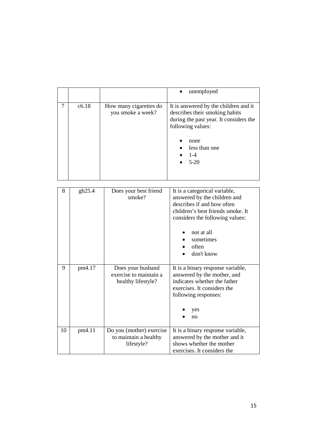|        |        |                                                                   | unemployed                                                                                                                                                                                                            |
|--------|--------|-------------------------------------------------------------------|-----------------------------------------------------------------------------------------------------------------------------------------------------------------------------------------------------------------------|
| $\tau$ | c6.18  | How many cigarettes do<br>you smoke a week?                       | It is answered by the children and it<br>describes their smoking habits<br>during the past year. It considers the<br>following values:<br>none<br>less than one<br>$1-4$<br>$5 - 20$                                  |
|        |        |                                                                   |                                                                                                                                                                                                                       |
| 8      | gh25.4 | Does your best friend<br>smoke?                                   | It is a categorical variable,<br>answered by the children and<br>describes if and how often<br>children's best friends smoke. It<br>considers the following values:<br>not at all<br>sometimes<br>often<br>don't know |
| 9      | pm4.17 | Does your husband<br>exercise to maintain a<br>healthy lifestyle? | It is a binary response variable,<br>answered by the mother, and<br>indicates whether the father<br>exercises. It considers the<br>following responses:<br>yes<br>no                                                  |
| 10     | pm4.11 | Do you (mother) exercise<br>to maintain a healthy<br>lifestyle?   | It is a binary response variable,<br>answered by the mother and it<br>shows whether the mother<br>exercises. It considers the                                                                                         |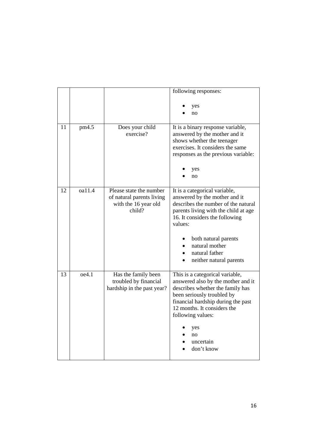|    |        |                                                                                        | following responses:                                                                                                                                                                                                                                                              |
|----|--------|----------------------------------------------------------------------------------------|-----------------------------------------------------------------------------------------------------------------------------------------------------------------------------------------------------------------------------------------------------------------------------------|
|    |        |                                                                                        | yes<br>no                                                                                                                                                                                                                                                                         |
| 11 | pm4.5  | Does your child<br>exercise?                                                           | It is a binary response variable,<br>answered by the mother and it<br>shows whether the teenager<br>exercises. It considers the same<br>responses as the previous variable:<br>yes<br>no                                                                                          |
| 12 | oa11.4 | Please state the number<br>of natural parents living<br>with the 16 year old<br>child? | It is a categorical variable,<br>answered by the mother and it<br>describes the number of the natural<br>parents living with the child at age<br>16. It considers the following<br>values:<br>both natural parents<br>natural mother<br>natural father<br>neither natural parents |
| 13 | oe4.1  | Has the family been<br>troubled by financial<br>hardship in the past year?             | This is a categorical variable,<br>answered also by the mother and it<br>describes whether the family has<br>been seriously troubled by<br>financial hardship during the past<br>12 months. It considers the<br>following values:<br>yes<br>no<br>uncertain<br>don't know         |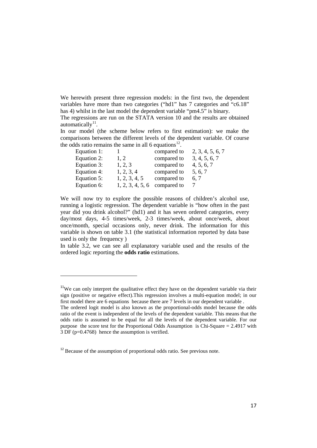We herewith present three regression models: in the first two, the dependent variables have more than two categories ("hd1" has 7 categories and "c6.18" has 4) whilst in the last model the dependent variable "pm4.5" is binary.

The regressions are run on the STATA version 10 and the results are obtained automatically $^{11}$  $^{11}$  $^{11}$ .

In our model (the scheme below refers to first estimation): we make the comparisons between the different levels of the dependent variable. Of course the odds ratio remains the same in all 6 equations<sup>[12](#page-16-1)</sup>.

| Equation 1: |                  | compared to | 2, 3, 4, 5, 6, 7 |
|-------------|------------------|-------------|------------------|
| Equation 2: | 1.2              | compared to | 3, 4, 5, 6, 7    |
| Equation 3: | 1, 2, 3          | compared to | 4, 5, 6, 7       |
| Equation 4: | 1, 2, 3, 4       | compared to | 5, 6, 7          |
| Equation 5: | 1, 2, 3, 4, 5    | compared to | 6.7              |
| Equation 6: | 1, 2, 3, 4, 5, 6 | compared to |                  |

We will now try to explore the possible reasons of children's alcohol use, running a logistic regression. The dependent variable is "how often in the past year did you drink alcohol?" (hd1) and it has seven ordered categories, every day/most days, 4-5 times/week, 2-3 times/week, about once/week, about once/month, special occasions only, never drink. The information for this variable is shown on table 3.1 (the statistical information reported by data base used is only the frequency )

In table 3.2, we can see all explanatory variable used and the results of the ordered logic reporting the **odds ratio** estimations.

 $\overline{\phantom{0}}$ 

<span id="page-16-0"></span> $11$ We can only interpret the qualitative effect they have on the dependent variable via their sign (positive or negative effect).This regression involves a multi-equation model; in our first model there are 6 equations because there are 7 levels in our dependent variable .

The ordered logit model is also known as the proportional-odds model because the odds ratio of the event is independent of the levels of the dependent variable. This means that the odds ratio is assumed to be equal for all the levels of the dependent variable. For our purpose the score test for the Proportional Odds Assumption is Chi-Square = 2.4917 with 3 DF (p=0.4768) hence the assumption is verified.

<span id="page-16-1"></span> $12$  Because of the assumption of proportional odds ratio. See previous note.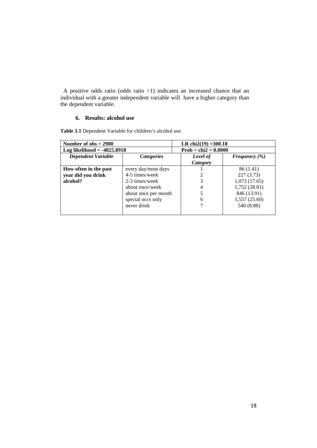A positive odds ratio (odds ratio >1) indicates an increased chance that an individual with a greater independent variable will have a higher category than the dependent variable.

# **6. Results: alcohol use**

**Table 3.1** Dependent Variable for children's alcohol use

| Number of $obs = 2980$        |                      | LR chi $2(19) = 300.18$ |                   |  |  |
|-------------------------------|----------------------|-------------------------|-------------------|--|--|
| Log likelihood = $-4825.8918$ |                      | $Prob > chi2 = 0.0000$  |                   |  |  |
| <b>Dependent Variable</b>     | <b>Categories</b>    | Level of                | Frequency $(\% )$ |  |  |
|                               |                      | Category                |                   |  |  |
| How often in the past         | every day/most days  |                         | 86 (1.41)         |  |  |
| year did you drink            | 4-5 times/week       |                         | 227(3.73)         |  |  |
| alcohol?                      | 2-3 times/week       |                         | 1,073(17.65)      |  |  |
|                               | about once/week      |                         | 1,752 (28.81)     |  |  |
|                               | about once per month |                         | 846 (13.91)       |  |  |
|                               | special occs only    | 6                       | 1,557(25.60)      |  |  |
|                               | never drink          |                         | 540 (8.88)        |  |  |
|                               |                      |                         |                   |  |  |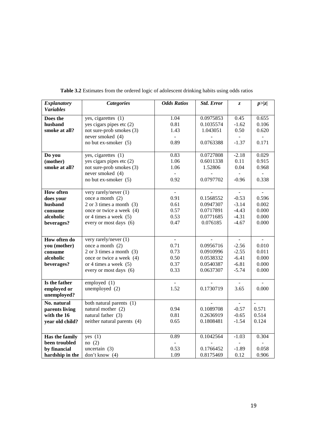| <b>Explanatory</b> | <b>Categories</b>                | <b>Odds Ratios</b> | <b>Std. Error</b> | Z.                       | $p$ >  z       |
|--------------------|----------------------------------|--------------------|-------------------|--------------------------|----------------|
| <b>Variables</b>   |                                  |                    |                   |                          |                |
| Does the           | yes, cigarettes (1)              | 1.04               | 0.0975853         | 0.45                     | 0.655          |
| husband            | yes cigars pipes etc $(2)$       | 0.81               | 0.1035574         | $-1.62$                  | 0.106          |
| smoke at all?      | not sure-prob smokes (3)         | 1.43               | 1.043051          | 0.50                     | 0.620          |
|                    | never smoked (4)                 |                    |                   |                          |                |
|                    | no but ex-smoker (5)             | 0.89               | 0.0763388         | $-1.37$                  | 0.171          |
|                    |                                  |                    |                   |                          |                |
| Do you             | yes, cigarettes $\overline{(1)}$ | 0.83               | 0.0727808         | $-2.18$                  | 0.029          |
| (mother)           | yes cigars pipes etc $(2)$       | 1.06               | 0.6011338         | 0.11                     | 0.915          |
| smoke at all?      | not sure-prob smokes (3)         | 1.06               | 1.52806           | 0.04                     | 0.968          |
|                    | never smoked (4)                 |                    |                   |                          |                |
|                    | no but ex-smoker (5)             | 0.92               | 0.0797702         | $-0.96$                  | 0.338          |
|                    |                                  |                    |                   |                          |                |
| <b>How often</b>   | very rarely/never (1)            | $\overline{a}$     |                   | $\overline{\phantom{a}}$ | $\blacksquare$ |
| does your          | once a month $(2)$               | 0.91               | 0.1568552         | $-0.53$                  | 0.596          |
| husband            | $2$ or $3$ times a month $(3)$   | 0.61               | 0.0947307         | $-3.14$                  | 0.002          |
| consume            | once or twice a week (4)         | 0.57               | 0.0717891         | $-4.43$                  | 0.000          |
| alcoholic          | or 4 times a week $(5)$          | 0.53               | 0.0771685         | $-4.31$                  | 0.000          |
| beverages?         | every or most days (6)           | 0.47               | 0.076185          | $-4.67$                  | 0.000          |
|                    |                                  |                    |                   |                          |                |
| How often do       | very rarely/never (1)            | $\frac{1}{2}$      |                   | $\frac{1}{2}$            |                |
| you (mother)       | once a month $(2)$               | 0.71               | 0.0956716         | $-2.56$                  | 0.010          |
|                    | $2$ or $3$ times a month $(3)$   | 0.73               | 0.0910996         | $-2.55$                  | 0.011          |
| consume            | once or twice a week (4)         | 0.50               | 0.0538332         | $-6.41$                  | 0.000          |
| alcoholic          | or 4 times a week $(5)$          | 0.37               | 0.0540387         | $-6.81$                  | 0.000          |
| beverages?         |                                  | 0.33               | 0.0637307         | $-5.74$                  | 0.000          |
|                    | every or most days (6)           |                    |                   |                          |                |
| Is the father      | employed (1)                     |                    |                   |                          |                |
| employed or        | unemployed $(2)$                 | 1.52               | 0.1730719         | 3.65                     | 0.000          |
| unemployed?        |                                  |                    |                   |                          |                |
| No. natural        | both natural parents (1)         |                    |                   |                          |                |
| parents living     | natural mother (2)               | 0.94               | 0.1089708         | $-0.57$                  | 0.571          |
| with the 16        | natural father (3)               | 0.81               | 0.2636919         | $-0.65$                  | 0.514          |
| year old child?    | neither natural parents (4)      | 0.65               | 0.1808481         | $-1.54$                  | 0.124          |
|                    |                                  |                    |                   |                          |                |
|                    |                                  |                    |                   |                          |                |
| Has the family     | yes $(1)$                        | 0.89               | 0.1042564         | $-1.03$                  | 0.304          |
| been troubled      | no(2)                            |                    |                   |                          |                |
| by financial       | uncertain $(3)$                  | 0.53               | 0.1766452         | $-1.89$                  | 0.058          |
| hardship in the    | don't know (4)                   | 1.09               | 0.8175469         | 0.12                     | 0.906          |

**Table 3.2** Estimates from the ordered logic of adolescent drinking habits using odds ratios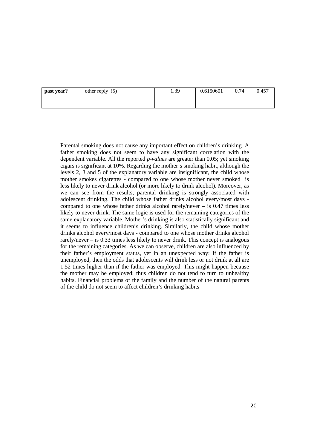| past year? | other reply $(5)$ | 1.39 | 0.6150601 | 0.74 | 0.457 |
|------------|-------------------|------|-----------|------|-------|
|            |                   |      |           |      |       |

Parental smoking does not cause any important effect on children's drinking. A father smoking does not seem to have any significant correlation with the dependent variable. All the reported *p-values* are greater than 0,05; yet smoking cigars is significant at 10%. Regarding the mother's smoking habit, although the levels 2, 3 and 5 of the explanatory variable are insignificant, the child whose mother smokes cigarettes - compared to one whose mother never smoked is less likely to never drink alcohol (or more likely to drink alcohol). Moreover, as we can see from the results, parental drinking is strongly associated with adolescent drinking. The child whose father drinks alcohol every/most days compared to one whose father drinks alcohol rarely/never – is 0.47 times less likely to never drink. The same logic is used for the remaining categories of the same explanatory variable. Mother's drinking is also statistically significant and it seems to influence children's drinking. Similarly, the child whose mother drinks alcohol every/most days - compared to one whose mother drinks alcohol rarely/never – is 0.33 times less likely to never drink. This concept is analogous for the remaining categories. As we can observe, children are also influenced by their father's employment status, yet in an unexpected way: If the father is unemployed, then the odds that adolescents will drink less or not drink at all are 1.52 times higher than if the father was employed. This might happen because the mother may be employed; thus children do not tend to turn to unhealthy habits. Financial problems of the family and the number of the natural parents of the child do not seem to affect children's drinking habits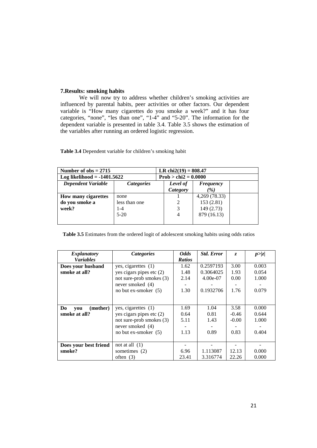#### **7.Results: smoking habits**

We will now try to address whether children's smoking activities are influenced by parental habits, peer activities or other factors. Our dependent variable is "How many cigarettes do you smoke a week?" and it has four categories, "none", "les than one", "1-4" and "5-20". The information for the dependent variable is presented in table 3.4. Table 3.5 shows the estimation of the variables after running an ordered logistic regression.

| Number of $obs = 2715$        |                   |                        | LR chi $2(19) = 808.47$ |               |  |  |
|-------------------------------|-------------------|------------------------|-------------------------|---------------|--|--|
| Log likelihood $= -1401.5622$ |                   | $Prob > chi2 = 0.0000$ |                         |               |  |  |
| <b>Dependent Variable</b>     | <i>Categories</i> |                        |                         | Frequency     |  |  |
|                               |                   |                        | <b>Category</b>         | $\frac{9}{6}$ |  |  |
| <b>How many cigarettes</b>    | none              |                        |                         | 4,269 (78.33) |  |  |
| do you smoke a                | less than one     |                        |                         | 153(2.81)     |  |  |
| week?                         | $1 - 4$           |                        | 3                       | 149 (2.73)    |  |  |
|                               | $5-20$            |                        | $\overline{4}$          | 879 (16.13)   |  |  |
|                               |                   |                        |                         |               |  |  |

**Table 3.4** Dependent variable for children's smoking habit

**Table 3.5** Estimates from the ordered logit of adolescent smoking habits using odds ratios

| <b>Explanatory</b>    | Categories                 | <b>Odds</b>   | <b>Std. Error</b> | Z.      | p >  z |
|-----------------------|----------------------------|---------------|-------------------|---------|--------|
| <b>Variables</b>      |                            | <b>Ratios</b> |                   |         |        |
| Does your husband     | yes, cigarettes $(1)$      | 1.62          | 0.2597193         | 3.00    | 0.003  |
| smoke at all?         | yes cigars pipes etc $(2)$ | 1.48          | 0.3064025         | 1.93    | 0.054  |
|                       | not sure-prob smokes (3)   | 2.14          | $4.00e-07$        | 0.00    | 1.000  |
|                       | never smoked (4)           |               |                   |         |        |
|                       | no but ex-smoker $(5)$     | 1.30          | 0.1932706         | 1.76    | 0.079  |
|                       |                            |               |                   |         |        |
|                       |                            |               |                   |         |        |
| (mother)<br>Do<br>you | yes, cigarettes $(1)$      | 1.69          | 1.04              | 3.58    | 0.000  |
| smoke at all?         | yes cigars pipes etc $(2)$ | 0.64          | 0.81              | $-0.46$ | 0.644  |
|                       | not sure-prob smokes (3)   | 5.11          | 1.43              | $-0.00$ | 1.000  |
|                       | never smoked $(4)$         |               |                   |         |        |
|                       | no but ex-smoker $(5)$     | 1.13          | 0.89              | 0.83    | 0.404  |
|                       |                            |               |                   |         |        |
| Does your best friend | not at all $(1)$           |               |                   |         |        |
| smoke?                | sometimes (2)              | 6.96          | 1.113087          | 12.13   | 0.000  |
|                       | often $(3)$                | 23.41         | 3.316774          | 22.26   | 0.000  |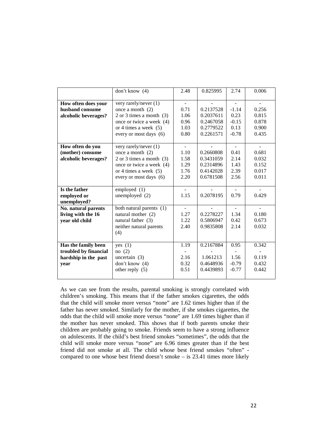|                       | don't know $(4)$               | 2.48         | 0.825995  | 2.74    | 0.006          |
|-----------------------|--------------------------------|--------------|-----------|---------|----------------|
|                       |                                |              |           |         |                |
| How often does your   | very rarely/never $(1)$        |              |           |         |                |
| husband consume       | once a month $(2)$             | 0.71         | 0.2137528 | $-1.14$ | 0.256          |
| alcoholic beverages?  | $2$ or $3$ times a month $(3)$ | 1.06         | 0.2037611 | 0.23    | 0.815          |
|                       | once or twice a week (4)       | 0.96         | 0.2467058 | $-0.15$ | 0.878          |
|                       | or 4 times a week $(5)$        | 1.03         | 0.2779522 | 0.13    | 0.900          |
|                       | every or most days (6)         | 0.80         | 0.2261571 | $-0.78$ | 0.435          |
|                       |                                |              |           |         |                |
| How often do you      | very rarely/never (1)          |              |           |         |                |
| (mother) consume      | once a month $(2)$             | 1.10         | 0.2660808 | 0.41    | 0.681          |
| alcoholic beverages?  | $2$ or $3$ times a month $(3)$ | 1.58         | 0.3431059 | 2.14    | 0.032          |
|                       | once or twice a week (4)       | 1.29         | 0.2314896 | 1.43    | 0.152          |
|                       | or 4 times a week $(5)$        | 1.76         | 0.4142028 | 2.39    | 0.017          |
|                       | every or most days (6)         | 2.20         | 0.6781508 | 2.56    | 0.011          |
|                       |                                |              |           |         |                |
| Is the father         | employed (1)                   |              |           |         |                |
| employed or           | unemployed (2)                 | 1.15         | 0.2078195 | 0.79    | 0.429          |
| unemployed?           |                                |              |           |         |                |
| No. natural parents   | both natural parents (1)       |              |           |         |                |
| living with the 16    | natural mother (2)             | 1.27         | 0.2278227 | 1.34    | 0.180          |
| year old child        | natural father (3)             | 1.22<br>2.40 | 0.5806947 | 0.42    | 0.673<br>0.032 |
|                       | neither natural parents        |              | 0.9835808 | 2.14    |                |
|                       | (4)                            |              |           |         |                |
| Has the family been   | yes $(1)$                      | 1.19         | 0.2167884 | 0.95    | 0.342          |
| troubled by financial | no(2)                          |              |           |         |                |
| hardship in the past  | uncertain $(3)$                | 2.16         | 1.061213  | 1.56    | 0.119          |
| year                  | don't know $(4)$               | 0.32         | 0.4648936 | $-0.79$ | 0.432          |
|                       | other reply $(5)$              | 0.51         | 0.4439893 | $-0.77$ | 0.442          |
|                       |                                |              |           |         |                |

As we can see from the results, parental smoking is strongly correlated with children's smoking. This means that if the father smokes cigarettes, the odds that the child will smoke more versus "none" are 1.62 times higher than if the father has never smoked. Similarly for the mother, if she smokes cigarettes, the odds that the child will smoke more versus "none" are 1.69 times higher than if the mother has never smoked. This shows that if both parents smoke their children are probably going to smoke. Friends seem to have a strong influence on adolescents. If the child's best friend smokes "sometimes", the odds that the child will smoke more versus "none" are 6.96 times greater than if the best friend did not smoke at all. The child whose best friend smokes "often" compared to one whose best friend doesn't smoke – is 23.41 times more likely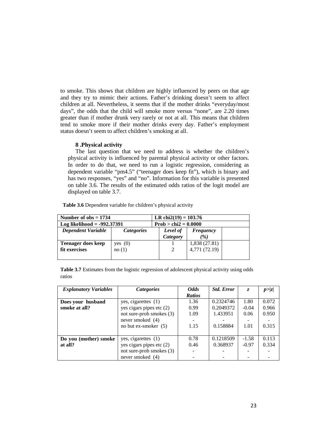to smoke. This shows that children are highly influenced by peers on that age and they try to mimic their actions. Father's drinking doesn't seem to affect children at all. Nevertheless, it seems that if the mother drinks "everyday/most days", the odds that the child will smoke more versus "none", are 2.20 times greater than if mother drunk very rarely or not at all. This means that children tend to smoke more if their mother drinks every day. Father's employment status doesn't seem to affect children's smoking at all.

#### **8 .Physical activity**

The last question that we need to address is whether the children's physical activity is influenced by parental physical activity or other factors. In order to do that, we need to run a logistic regression, considering as dependent variable "pm4.5" ("teenager does keep fit"), which is binary and has two responses, "yes" and "no". Information for this variable is presented on table 3.6. The results of the estimated odds ratios of the logit model are displayed on table 3.7.

| Number of $obs = 1734$                         |           |  | LR chi2(19) = $103.76$ |                  |  |  |
|------------------------------------------------|-----------|--|------------------------|------------------|--|--|
| Log likelihood = $-992.37391$                  |           |  | $Prob > chi2 = 0.0000$ |                  |  |  |
| <b>Dependent Variable</b><br><i>Categories</i> |           |  | Level of               | <b>Frequency</b> |  |  |
|                                                |           |  | Category               | $\frac{1}{2}$    |  |  |
| <b>Teenager does keep</b>                      | yes $(0)$ |  |                        | 1,838 (27.81)    |  |  |
| fit exercises                                  | no(1)     |  | 2                      | 4,771 (72.19)    |  |  |
|                                                |           |  |                        |                  |  |  |

**Table 3.6** Dependent variable for children's physical activity

|        |  |  | <b>Table 3.7</b> Estimates from the logistic regression of adolescent physical activity using odds |  |  |
|--------|--|--|----------------------------------------------------------------------------------------------------|--|--|
| ratios |  |  |                                                                                                    |  |  |

| <b>Explanatory Variables</b> | <i>Categories</i>          | <b>Odds</b>   | <b>Std. Error</b> | Z.      | p >  z |
|------------------------------|----------------------------|---------------|-------------------|---------|--------|
|                              |                            | <b>Ratios</b> |                   |         |        |
| Does your husband            | yes, cigarettes (1)        | 1.36          | 0.2324746         | 1.80    | 0.072  |
| smoke at all?                | yes cigars pipes etc $(2)$ | 0.99          | 0.2049372         | $-0.04$ | 0.966  |
|                              | not sure-prob smokes (3)   | 1.09          | 1.433951          | 0.06    | 0.950  |
|                              | never smoked (4)           |               |                   |         |        |
|                              | no but ex-smoker $(5)$     | 1.15          | 0.158884          | 1.01    | 0.315  |
|                              |                            |               |                   |         |        |
| Do you (mother) smoke        | yes, cigarettes (1)        | 0.78          | 0.1218509         | $-1.58$ | 0.113  |
| at all?                      | yes cigars pipes etc $(2)$ | 0.46          | 0.368937          | $-0.97$ | 0.334  |
|                              | not sure-prob smokes (3)   |               |                   |         |        |
|                              | never smoked (4)           |               |                   |         |        |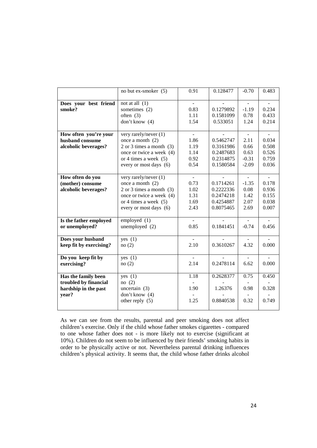|                                      | no but ex-smoker (5)                        | 0.91         | 0.128477  | $-0.70$ | 0.483 |
|--------------------------------------|---------------------------------------------|--------------|-----------|---------|-------|
|                                      |                                             | $\mathbf{r}$ |           |         |       |
| Does your best friend<br>smoke?      | not at all $(1)$<br>sometimes (2)           | 0.83         | 0.1279892 | $-1.19$ | 0.234 |
|                                      | often $(3)$                                 | 1.11         | 0.1581099 | 0.78    | 0.433 |
|                                      | don't know $(4)$                            | 1.54         | 0.533051  | 1.24    | 0.214 |
|                                      |                                             |              |           |         |       |
| How often you're your                | very rarely/never (1)                       | $\sim$       |           | $\sim$  |       |
| husband consume                      | once a month $(2)$                          | 1.86         | 0.5462747 | 2.11    | 0.034 |
| alcoholic beverages?                 | $2$ or $3$ times a month $(3)$              | 1.19         | 0.3161986 | 0.66    | 0.508 |
|                                      | once or twice a week (4)                    | 1.14         | 0.2487683 | 0.63    | 0.526 |
|                                      | or 4 times a week $(5)$                     | 0.92         | 0.2314875 | $-0.31$ | 0.759 |
|                                      | every or most days (6)                      | 0.54         | 0.1580584 | $-2.09$ | 0.036 |
|                                      |                                             |              |           |         |       |
| How often do you<br>(mother) consume | very rarely/never (1)<br>once a month $(2)$ | 0.73         | 0.1714261 | $-1.35$ | 0.178 |
| alcoholic beverages?                 | $2$ or $3$ times a month $(3)$              | 1.02         | 0.2222336 | 0.08    | 0.936 |
|                                      | once or twice a week (4)                    | 1.31         | 0.2474218 | 1.42    | 0.155 |
|                                      | or 4 times a week $(5)$                     | 1.69         | 0.4254887 | 2.07    | 0.038 |
|                                      | every or most days (6)                      | 2.43         | 0.8075465 | 2.69    | 0.007 |
|                                      |                                             |              |           |         |       |
| Is the father employed               | employed (1)                                |              |           |         |       |
| or unemployed?                       | unemployed $(2)$                            | 0.85         | 0.1841451 | $-0.74$ | 0.456 |
| Does your husband                    | yes $(1)$                                   |              |           |         |       |
| keep fit by exercising?              | no(2)                                       | 2.10         | 0.3610267 | 4.32    | 0.000 |
|                                      |                                             |              |           |         |       |
| Do you keep fit by                   | yes $(1)$                                   | $\sim$       |           |         |       |
| exercising?                          | no(2)                                       | 2.14         | 0.2478114 | 6.62    | 0.000 |
|                                      |                                             |              |           |         |       |
| Has the family been                  | yes $(1)$                                   | 1.18         | 0.2628377 | 0.75    | 0.450 |
| troubled by financial                | no(2)                                       |              |           |         |       |
| hardship in the past                 | uncertain $(3)$                             | 1.90         | 1.26376   | 0.98    | 0.328 |
| year?                                | don't know (4)                              |              |           |         |       |
|                                      | other reply $(5)$                           | 1.25         | 0.8840538 | 0.32    | 0.749 |
|                                      |                                             |              |           |         |       |

As we can see from the results, parental and peer smoking does not affect children's exercise. Only if the child whose father smokes cigarettes - compared to one whose father does not - is more likely not to exercise (significant at 10%). Children do not seem to be influenced by their friends' smoking habits in order to be physically active or not. Nevertheless parental drinking influences children's physical activity. It seems that, the child whose father drinks alcohol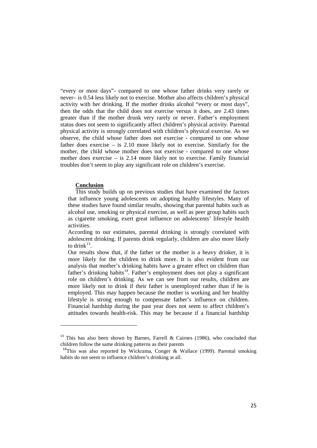"every or most days"- compared to one whose father drinks very rarely or never– is 0.54 less likely not to exercise. Mother also affects children's physical activity with her drinking. If the mother drinks alcohol "every or most days", then the odds that the child does not exercise versus it does, are 2.43 times greater than if the mother drunk very rarely or never. Father's employment status does not seem to significantly affect children's physical activity. Parental physical activity is strongly correlated with children's physical exercise. As we observe, the child whose father does not exercise - compared to one whose father does exercise – is 2.10 more likely not to exercise. Similarly for the mother, the child whose mother does not exercise - compared to one whose mother does exercise – is 2.14 more likely not to exercise. Family financial troubles don't seem to play any significant role on children's exercise.

#### **Conclusion**

 $\overline{\phantom{0}}$ 

This study builds up on previous studies that have examined the factors that influence young adolescents on adopting healthy lifestyles. Many of these studies have found similar results, showing that parental habits such as alcohol use, smoking or physical exercise, as well as peer group habits such as cigarette smoking, exert great influence on adolescents' lifestyle health activities.

According to our estimates, parental drinking is strongly correlated with adolescent drinking. If parents drink regularly, children are also more likely to drink $^{13}$  $^{13}$  $^{13}$ .

Our results show that, if the father or the mother is a heavy drinker, it is more likely for the children to drink more. It is also evident from our analysis that mother's drinking habits have a greater effect on children than father's drinking habits<sup>[14](#page-24-1)</sup>. Father's employment does not play a significant role on children's drinking. As we can see from our results, children are more likely not to drink if their father is unemployed rather than if he is employed. This may happen because the mother is working and her healthy lifestyle is strong enough to compensate father's influence on children. Financial hardship during the past year does not seem to affect children's attitudes towards health-risk. This may be because if a financial hardship

<span id="page-24-0"></span><sup>&</sup>lt;sup>13</sup> This has also been shown by Barnes, Farrell & Cairnes (1986), who concluded that children follow the same drinking patterns as their parents

<span id="page-24-1"></span><sup>&</sup>lt;sup>14</sup>This was also reported by Wickrama, Conger & Wallace (1999). Parental smoking habits do not seem to influence children's drinking at all.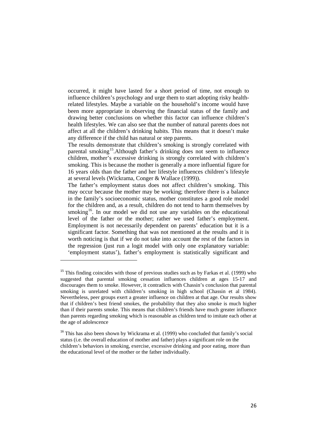occurred, it might have lasted for a short period of time, not enough to influence children's psychology and urge them to start adopting risky healthrelated lifestyles. Maybe a variable on the household's income would have been more appropriate in observing the financial status of the family and drawing better conclusions on whether this factor can influence children's health lifestyles. We can also see that the number of natural parents does not affect at all the children's drinking habits. This means that it doesn't make any difference if the child has natural or step parents.

The results demonstrate that children's smoking is strongly correlated with parental smoking<sup>[15](#page-25-0)</sup>. Although father's drinking does not seem to influence children, mother's excessive drinking is strongly correlated with children's smoking. This is because the mother is generally a more influential figure for 16 years olds than the father and her lifestyle influences children's lifestyle at several levels (Wickrama, Conger & Wallace (1999)).

The father's employment status does not affect children's smoking. This may occur because the mother may be working; therefore there is a balance in the family's socioeconomic status, mother constitutes a good role model for the children and, as a result, children do not tend to harm themselves by smoking<sup>[16](#page-25-1)</sup>. In our model we did not use any variables on the educational level of the father or the mother; rather we used father's employment. Employment is not necessarily dependent on parents' education but it is a significant factor. Something that was not mentioned at the results and it is worth noticing is that if we do not take into account the rest of the factors in the regression (just run a logit model with only one explanatory variable: 'employment status'), father's employment is statistically significant and

ı

<span id="page-25-0"></span> $15$  This finding coincides with those of previous studies such as by Farkas et al. (1999) who suggested that parental smoking cessation influences children at ages 15-17 and discourages them to smoke. However, it contradicts with Chassin's conclusion that parental smoking is unrelated with children's smoking in high school (Chassin et al 1984). Nevertheless, peer groups exert a greater influence on children at that age. Our results show that if children's best friend smokes, the probability that they also smoke is much higher than if their parents smoke. This means that children's friends have much greater influence than parents regarding smoking which is reasonable as children tend to imitate each other at the age of adolescence

<span id="page-25-1"></span><sup>&</sup>lt;sup>16</sup> This has also been shown by Wickrama et al. (1999) who concluded that family's social status (i.e. the overall education of mother and father) plays a significant role on the children's behaviors in smoking, exercise, excessive drinking and poor eating, more than the educational level of the mother or the father individually.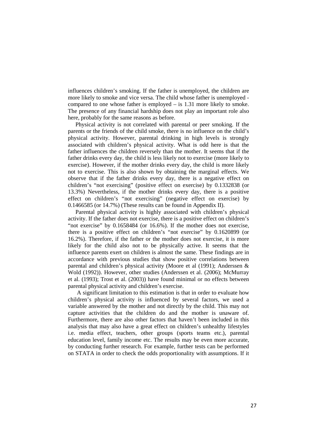influences children's smoking. If the father is unemployed, the children are more likely to smoke and vice versa. The child whose father is unemployed compared to one whose father is employed – is 1.31 more likely to smoke. The presence of any financial hardship does not play an important role also here, probably for the same reasons as before.

Physical activity is not correlated with parental or peer smoking. If the parents or the friends of the child smoke, there is no influence on the child's physical activity. However, parental drinking in high levels is strongly associated with children's physical activity. What is odd here is that the father influences the children reversely than the mother. It seems that if the father drinks every day, the child is less likely not to exercise (more likely to exercise). However, if the mother drinks every day, the child is more likely not to exercise. This is also shown by obtaining the marginal effects. We observe that if the father drinks every day, there is a negative effect on children's "not exercising" (positive effect on exercise) by 0.1332838 (or 13.3%) Nevertheless, if the mother drinks every day, there is a positive effect on children's "not exercising" (negative effect on exercise) by 0.1466585 (or 14.7%) (These results can be found in Appendix II).

Parental physical activity is highly associated with children's physical activity. If the father does not exercise, there is a positive effect on children's "not exercise" by 0.1658484 (or 16.6%). If the mother does not exercise, there is a positive effect on children's "not exercise" by 0.1620899 (or 16.2%). Therefore, if the father or the mother does not exercise, it is more likely for the child also not to be physically active. It seems that the influence parents exert on children is almost the same. These findings are in accordance with previous studies that show positive correlations between parental and children's physical activity (Moore et al (1991); Anderssen & Wold (1992)). However, other studies (Anderssen et al. (2006); McMurray et al. (1993); Trost et al. (2003)) have found minimal or no effects between parental physical activity and children's exercise.

A significant limitation to this estimation is that in order to evaluate how children's physical activity is influenced by several factors, we used a variable answered by the mother and not directly by the child. This may not capture activities that the children do and the mother is unaware of. Furthermore, there are also other factors that haven't been included in this analysis that may also have a great effect on children's unhealthy lifestyles i.e. media effect, teachers, other groups (sports teams etc.), parental education level, family income etc. The results may be even more accurate, by conducting further research. For example, further tests can be performed on STATA in order to check the odds proportionality with assumptions. If it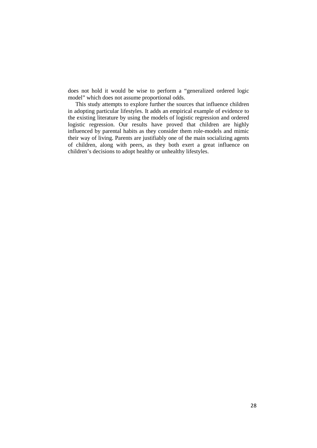does not hold it would be wise to perform a "generalized ordered logic model" which does not assume proportional odds.

This study attempts to explore further the sources that influence children in adopting particular lifestyles. It adds an empirical example of evidence to the existing literature by using the models of logistic regression and ordered logistic regression. Our results have proved that children are highly influenced by parental habits as they consider them role-models and mimic their way of living. Parents are justifiably one of the main socializing agents of children, along with peers, as they both exert a great influence on children's decisions to adopt healthy or unhealthy lifestyles.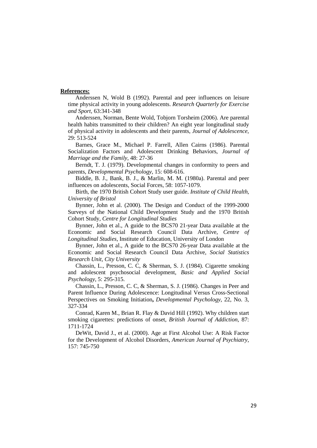#### **References:**

Anderssen N, Wold B (1992). Parental and peer influences on leisure time physical activity in young adolescents. *Research Quarterly for Exercise and Sport*, 63:341-348

Anderssen, Norman, Bente Wold, Tobjorn Torsheim (2006). Are parental health habits transmitted to their children? An eight year longitudinal study of physical activity in adolescents and their parents, *Journal of Adolescence*, 29: 513-524

Barnes, Grace M., Michael P. Farrell, Allen Cairns (1986). Parental Socialization Factors and Adolescent Drinking Behaviors, *Journal of Marriage and the Family*, 48: 27-36

Berndt, T. J. (1979). Developmental changes in conformity to peers and parents, *Developmental Psychology*, 15: 608-616.

Biddle, B. J., Bank, B. J., & Marlin, M. M. (1980a). Parental and peer influences on adolescents, Social Forces, 58: 1057-1079.

Birth, the 1970 British Cohort Study user guide. *Institute of Child Health, University of Bristol*

Bynner, John et al. (2000). The Design and Conduct of the 1999-2000 Surveys of the National Child Development Study and the 1970 British Cohort Study*, Centre for Longitudinal Studies*

Bynner, John et al., A guide to the BCS70 21-year Data available at the Economic and Social Research Council Data Archive, *Centre of Longitudinal Studies*, Institute of Education, University of London

Bynner, John et al., A guide to the BCS70 26-year Data available at the Economic and Social Research Council Data Archive, *Social Statistics Research Unit, City University*

Chassin, L., Presson, C. C, & Sherman, S. J. (1984). Cigarette smoking and adolescent psychosocial development, *Basic and Applied Social Psychology*, 5: 295-315.

Chassin, L., Presson, C. C, & Sherman, S. J. (1986). Changes in Peer and Parent Influence During Adolescence: Longitudinal Versus Cross-Sectional Perspectives on Smoking Initiation**,** *Developmental Psychology*, 22, No. 3, 327-334

Conrad, Karen M., Brian R. Flay & David Hill (1992). Why children start smoking cigarettes: predictions of onset, *British Journal of Addiction*, 87: 1711-1724

DeWit, David J., et al. (2000). Age at First Alcohol Use: A Risk Factor for the Development of Alcohol Disorders, *American Journal of Psychiatry*, 157: 745-750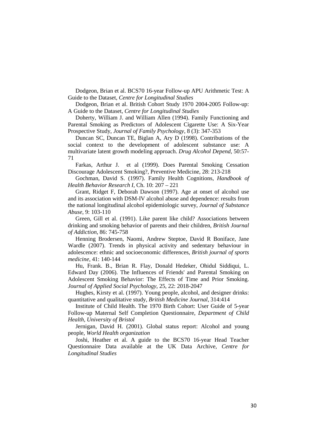Dodgeon, Brian et al. BCS70 16-year Follow-up APU Arithmetic Test: A Guide to the Dataset, *Centre for Longitudinal Studies*

Dodgeon, Brian et al. British Cohort Study 1970 2004-2005 Follow-up: A Guide to the Dataset, *Centre for Longitudinal Studies*

Doherty, William J. and William Allen (1994). Family Functioning and Parental Smoking as Predictors of Adolescent Cigarette Use: A Six-Year Prospective Study, *Journal of Family Psychology*, 8 (3): 347-353

Duncan SC, Duncan TE, Biglan A, Ary D (1998). Contributions of the social context to the development of adolescent substance use: A multivariate latent growth modeling approach. *Drug Alcohol Depend*, 50:57- 71

Farkas, Arthur J. et al (1999). Does Parental Smoking Cessation Discourage Adolescent Smoking?, Preventive Medicine, 28: 213-218

Gochman, David S. (1997). Family Health Cognitions, *Handbook of Health Behavior Research I*, Ch. 10: 207 – 221

Grant, Ridget F, Deborah Dawson (1997). Age at onset of alcohol use and its association with DSM-IV alcohol abuse and dependence: results from the national longitudinal alcohol epidemiologic survey, *Journal of Substance Abuse*, 9: 103-110

Green, Gill et al. (1991). Like parent like child? Associations between drinking and smoking behavior of parents and their children, *British Journal of Addiction*, 86: 745-758

Henning Brodersen, Naomi, Andrew Steptoe, David R Boniface, Jane Wardle (2007). Trends in physical activity and sedentary behaviour in adolescence: ethnic and socioeconomic differences, *British journal of sports medicine*, 41: 140-144

Hu, Frank. B., Brian R. Flay, Donald Hedeker, Ohidul Siddiqui, L. Edward Day (2006). The Influences of Friends' and Parental Smoking on Adolescent Smoking Behavior: The Effects of Time and Prior Smoking. *Journal of Applied Social Psychology*, 25, 22: 2018-2047

Hughes, Kirsty et al. (1997). Young people, alcohol, and designer drinks: quantitative and qualitative study*, British Medicine Journal*, 314:414

Institute of Child Health. The 1970 Birth Cohort: User Guide of 5-year Follow-up Maternal Self Completion Questionnaire, *Department of Child Health, University of Bristol*

Jernigan, David H. (2001). Global status report: Alcohol and young people, *World Health organization*

Joshi, Heather et al. A guide to the BCS70 16-year Head Teacher Questionnaire Data available at the UK Data Archive, *Centre for Longitudinal Studies*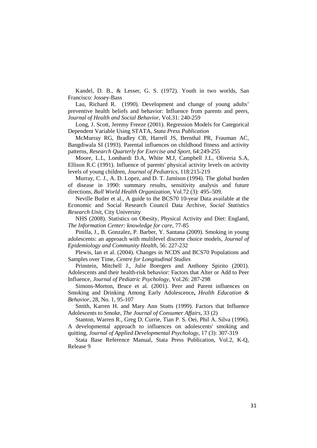Kandel, D. B., & Lesser, G. S. (1972). Youth in two worlds, San Francisco: Jossey-Bass

Lau, Richard R. (1990). Development and change of young adults' preventive health beliefs and behavior: Influence from parents and peers, *Journal of Health and Social Behavior*, Vol.31: 240-259

Long, J. Scott, Jeremy Freeze (2001). Regression Models for Categorical Dependent Variable Using STATA, *Stata Press Publication*

McMurray RG, Bradley CB, Harrell JS, Bernthal PR, Frauman AC, Bangdiwala SI (1993). Parental influences on childhood fitness and activity patterns, *Research Quarterly for Exercise and Sport*, 64:249-255

Moore, L.L, Lombardi D.A, White M.J, Campbell J.L, Oliveria S.A, Ellison R.C (1991). Influence of parents' physical activity levels on activity levels of young children, *Journal of Pediatrics*, 118:215-219

Murray, C. J., A. D. Lopez, and D. T. Jamison (1994). The global burden of disease in 1990: summary results, sensitivity analysis and future directions*, Bull World Health Organization*, Vol.72 (3): 495–509.

Neville Butler et al., A guide to the BCS70 10-year Data available at the Economic and Social Research Council Data Archive, *Social Statistics Research Unit*, City University

NHS (2008). Statistics on Obesity, Physical Activity and Diet: England, *The Information Center: knowledge for care*, 77-85

Pinilla, J., B. Gonzalez, P. Barber, Y. Santana (2009). Smoking in young adolescents: an approach with multilevel discrete choice models, *Journal of Epidemiology and Community Health*, 56: 227-232

Plewis, Ian et al. (2004). Changes in NCDS and BCS70 Populations and Samples over Time, *Centre for Longitudinal Studies*

Prinstein, Mitchell J., Julie Boergers and Anthony Spirito (2001). Adolescents and their health-risk behavior: Factors that Alter or Add to Peer Influence, *Journal of Pediatric Psychology*, Vol.26: 287-298

Simons-Morton, Bruce et al. (2001). Peer and Parent influences on Smoking and Drinking Among Early Adolescence**,** *Health Education & Behavior*, 28, No. 1, 95-107

Smith, Karren H. and Mary Ann Stutts (1999). Factors that Influence Adolescents to Smoke, *The Journal of Consumer Affairs*, 33 (2)

Stanton, Warren R., Greg D. Currie, Tian P. S. Oei, Phil A. Silva (1996). A developmental approach to influences on adolescents' smoking and quitting, *Journal of Applied Developmental Psychology*, 17 (3): 307-319

Stata Base Reference Manual, Stata Press Publication, Vol.2, K-Q, Release 9